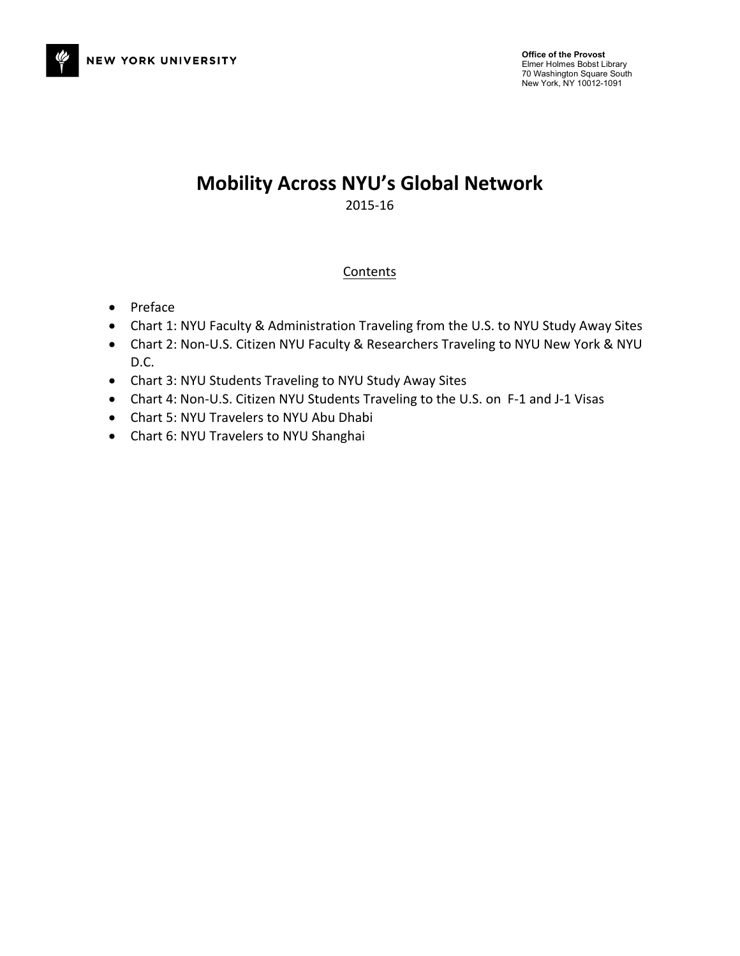

# **Mobility Across NYU's Global Network** 2015-16

## **Contents**

- Preface
- Chart 1: NYU Faculty & Administration Traveling from the U.S. to NYU Study Away Sites
- Chart 2: Non-U.S. Citizen NYU Faculty & Researchers Traveling to NYU New York & NYU D.C.
- Chart 3: NYU Students Traveling to NYU Study Away Sites
- Chart 4: Non-U.S. Citizen NYU Students Traveling to the U.S. on F-1 and J-1 Visas
- Chart 5: NYU Travelers to NYU Abu Dhabi
- Chart 6: NYU Travelers to NYU Shanghai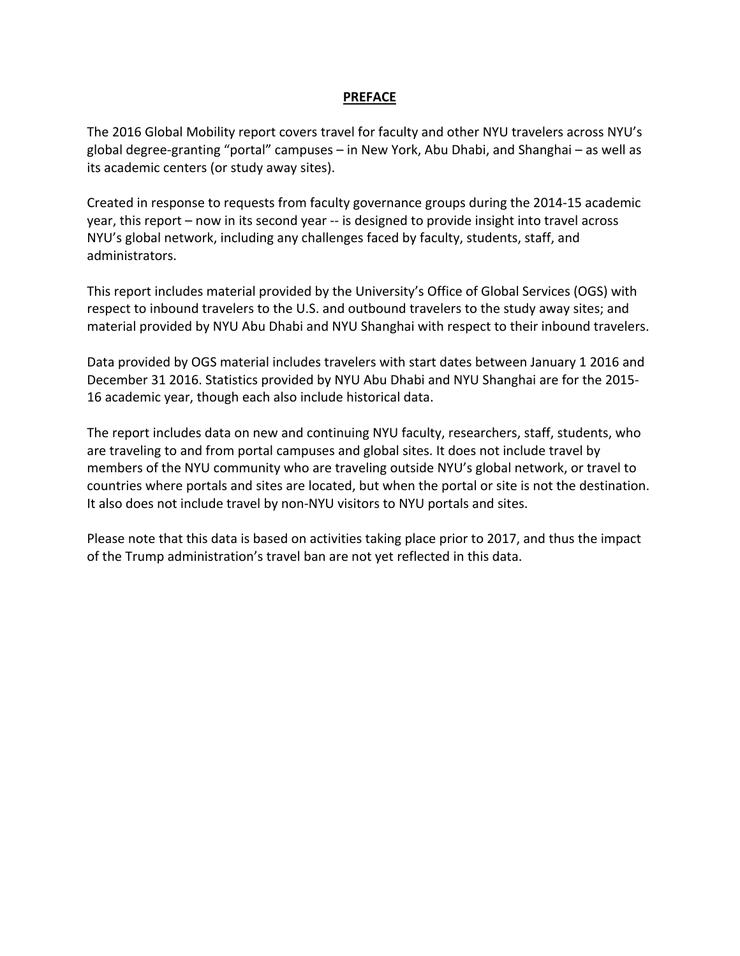### **PREFACE**

The 2016 Global Mobility report covers travel for faculty and other NYU travelers across NYU's global degree-granting "portal" campuses  $-$  in New York, Abu Dhabi, and Shanghai  $-$  as well as its academic centers (or study away sites).

Created in response to requests from faculty governance groups during the 2014-15 academic year, this report – now in its second year -- is designed to provide insight into travel across NYU's global network, including any challenges faced by faculty, students, staff, and administrators.

This report includes material provided by the University's Office of Global Services (OGS) with respect to inbound travelers to the U.S. and outbound travelers to the study away sites; and material provided by NYU Abu Dhabi and NYU Shanghai with respect to their inbound travelers.

Data provided by OGS material includes travelers with start dates between January 1 2016 and December 31 2016. Statistics provided by NYU Abu Dhabi and NYU Shanghai are for the 2015-16 academic year, though each also include historical data.

The report includes data on new and continuing NYU faculty, researchers, staff, students, who are traveling to and from portal campuses and global sites. It does not include travel by members of the NYU community who are traveling outside NYU's global network, or travel to countries where portals and sites are located, but when the portal or site is not the destination. It also does not include travel by non-NYU visitors to NYU portals and sites.

Please note that this data is based on activities taking place prior to 2017, and thus the impact of the Trump administration's travel ban are not yet reflected in this data.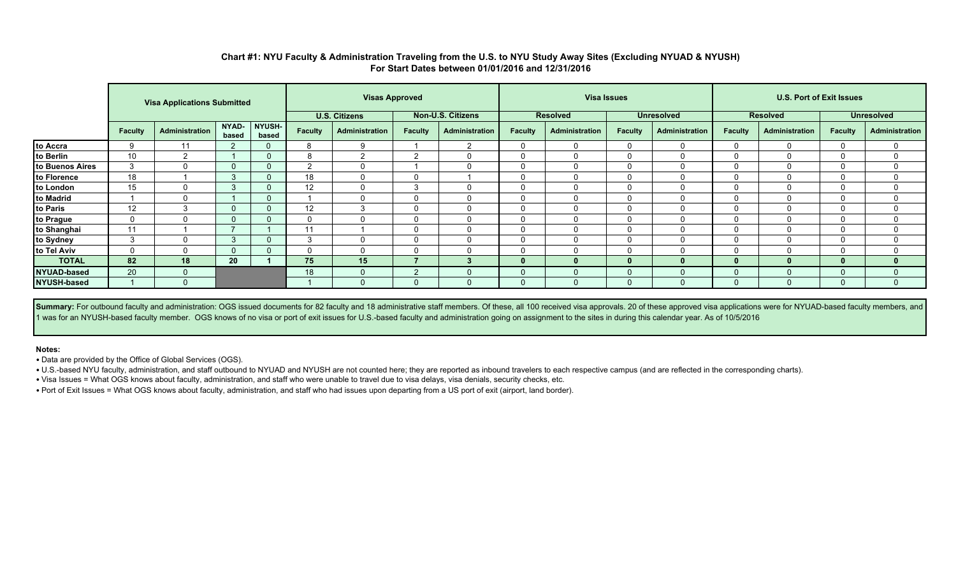|                 |                 | <b>Visa Applications Submitted</b> |                |                        | <b>Visas Approved</b> |                      |                |                          |                | <b>Visa Issues</b> |          |                   | <b>U.S. Port of Exit Issues</b> |                 |                   |                |  |
|-----------------|-----------------|------------------------------------|----------------|------------------------|-----------------------|----------------------|----------------|--------------------------|----------------|--------------------|----------|-------------------|---------------------------------|-----------------|-------------------|----------------|--|
|                 |                 |                                    |                |                        |                       | <b>U.S. Citizens</b> |                | <b>Non-U.S. Citizens</b> |                | <b>Resolved</b>    |          | <b>Unresolved</b> |                                 | <b>Resolved</b> | <b>Unresolved</b> |                |  |
|                 | <b>Faculty</b>  | Administration                     | NYAD-<br>based | <b>NYUSH-</b><br>based | <b>Faculty</b>        | Administration       | <b>Faculty</b> | <b>Administration</b>    | <b>Faculty</b> | Administration     | Faculty  | Administration    | <b>Faculty</b>                  | Administration  | <b>Faculty</b>    | Administration |  |
| to Accra        |                 |                                    |                |                        | 8                     | 9                    |                | 2                        |                | $\Omega$           | $\Omega$ |                   |                                 |                 |                   | $\Omega$       |  |
| to Berlin       | 10 <sup>°</sup> | 2                                  |                |                        | 8                     | $\overline{2}$       | ົ              | 0                        |                | $\Omega$           | 0        | <sup>0</sup>      |                                 |                 |                   | $\Omega$       |  |
| to Buenos Aires | 3               | $\Omega$                           | $\mathbf{0}$   |                        | റ                     | 0                    |                |                          |                | $\Omega$           | O        |                   |                                 |                 |                   | $\mathbf{0}$   |  |
| to Florence     | 18              |                                    | 3              |                        | 18                    | 0                    | $\Omega$       |                          |                | $\Omega$           | C        | $\Omega$          |                                 |                 |                   | $\Omega$       |  |
| to London       | 15              |                                    | 3              |                        | 12                    | $\mathbf{0}$         | 3              |                          |                | $\Omega$           | $\Omega$ |                   |                                 |                 |                   | $\Omega$       |  |
| to Madrid       |                 | $\Omega$                           |                | $\Omega$               |                       | 0                    | $\Omega$       |                          |                | $\mathbf{0}$       | $\Omega$ |                   |                                 |                 |                   | $\Omega$       |  |
| to Paris        | 12              | 3                                  | $\mathbf{0}$   |                        | 12                    | 3                    | $\Omega$       | $\mathbf{0}$             |                | $\Omega$           | $\Omega$ | $\Omega$          |                                 |                 |                   | 0              |  |
| to Prague       | $\Omega$        |                                    | $\mathbf{0}$   | $\Omega$               | $\Omega$              | 0                    | $\Omega$       |                          |                |                    | $\Omega$ |                   |                                 |                 |                   | $\mathbf{0}$   |  |
| to Shanghai     | 11              |                                    |                |                        | 11                    |                      | $\Omega$       |                          |                | $\Omega$           | $\Omega$ |                   |                                 |                 |                   | $\Omega$       |  |
| to Sydney       | 3               |                                    | 3              |                        | 3                     | 0                    | $\Omega$       |                          |                |                    | O        |                   |                                 |                 |                   | $\Omega$       |  |
| to Tel Aviv     |                 | $\mathbf{0}$                       | $\Omega$       |                        | $\Omega$              | $\mathbf{0}$         | 0              |                          |                | $\Omega$           | $\Omega$ | $^{(1)}$          |                                 |                 |                   | $\Omega$       |  |
| <b>TOTAL</b>    | 82              | 18                                 | 20             |                        | 75                    | 15                   |                |                          |                |                    |          | 0                 | $\Omega$                        |                 |                   | $\bf{0}$       |  |
| NYUAD-based     | 20              | $\Omega$                           |                |                        | 18                    | 0                    | ົດ             |                          |                |                    |          |                   |                                 |                 |                   | $\Omega$       |  |
| NYUSH-based     |                 |                                    |                |                        |                       | $\Omega$             | $\Omega$       |                          |                |                    | $\Omega$ |                   |                                 |                 |                   | $\Omega$       |  |

### **Chart #1: NYU Faculty & Administration Traveling from the U.S. to NYU Study Away Sites (Excluding NYUAD & NYUSH) For Start Dates between 01/01/2016 and 12/31/2016**

Summary: For outbound faculty and administration: OGS issued documents for 82 faculty and 18 administrative staff members. Of these, all 100 received visa approvals. 20 of these approved visa applications were for NYUAD-ba 1 was for an NYUSH-based faculty member. OGS knows of no visa or port of exit issues for U.S.-based faculty and administration going on assignment to the sites in during this calendar year. As of 10/5/2016

#### **Notes:**

• Data are provided by the Office of Global Services (OGS).

• U.S.-based NYU faculty, administration, and staff outbound to NYUAD and NYUSH are not counted here; they are reported as inbound travelers to each respective campus (and are reflected in the corresponding charts).

• Visa Issues = What OGS knows about faculty, administration, and staff who were unable to travel due to visa delays, visa denials, security checks, etc.

• Port of Exit Issues = What OGS knows about faculty, administration, and staff who had issues upon departing from a US port of exit (airport, land border).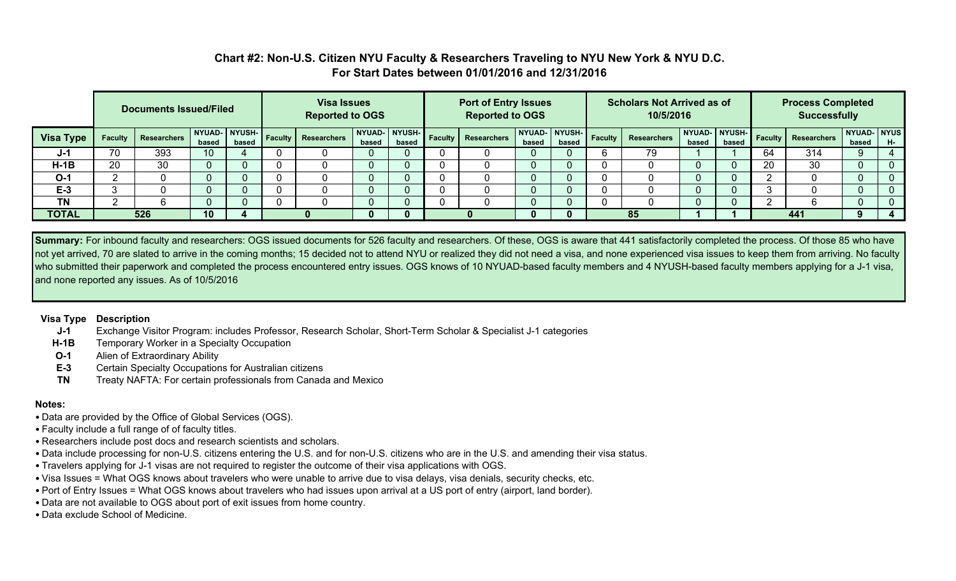## **Chart #2: Non-U.S. Citizen NYU Faculty & Researchers Traveling to NYU New York & NYU D.C. For Start Dates between 01/01/2016 and 12/31/2016**

|                  | <b>Documents Issued/Filed</b> |                    |                 |       |  | <b>Visa Issues</b><br><b>Reported to OGS</b> |                        |       |  | <b>Port of Entry Issues</b><br><b>Reported to OGS</b> |                 |                 |         | <b>Scholars Not Arrived as of</b><br>10/5/2016 |                        |       | <b>Process Completed</b><br><b>Successfully</b> |                            |                      |    |
|------------------|-------------------------------|--------------------|-----------------|-------|--|----------------------------------------------|------------------------|-------|--|-------------------------------------------------------|-----------------|-----------------|---------|------------------------------------------------|------------------------|-------|-------------------------------------------------|----------------------------|----------------------|----|
| <b>Visa Type</b> | <b>Faculty</b>                | <b>Researchers</b> | based           | based |  | NYUAD-NYUSH- Faculty Researchers             | NYUAD- NYUSH-<br>based | based |  | <b>Faculty Researchers</b>                            | NYUAD-<br>based | NYUSH-<br>based | Faculty | <b>Researchers</b>                             | NYUAD- NYUSH-<br>based | based |                                                 | <b>Faculty Researchers</b> | NYUAD- NYUS<br>based | H- |
| J-1              | 70                            | 393                | 10 <sup>1</sup> |       |  |                                              |                        | O     |  |                                                       |                 |                 |         | 79                                             |                        |       | 64                                              | 314                        |                      |    |
| $H-1B$           | 20                            | 30                 |                 |       |  |                                              |                        |       |  |                                                       |                 |                 |         |                                                |                        |       | 20                                              | 30                         |                      |    |
| $O-1$            |                               |                    | v               |       |  |                                              |                        | O     |  |                                                       |                 |                 |         |                                                | v                      |       |                                                 |                            |                      |    |
| $E-3$            |                               |                    | v               |       |  |                                              |                        | O     |  |                                                       |                 |                 |         |                                                |                        |       |                                                 |                            |                      |    |
| <b>TN</b>        |                               |                    |                 |       |  |                                              |                        |       |  |                                                       |                 |                 |         |                                                |                        |       |                                                 |                            |                      |    |
| <b>TOTAL</b>     |                               | 526                | 10              | 4     |  |                                              |                        | 0     |  |                                                       |                 |                 |         | 85                                             |                        |       |                                                 | 441                        |                      |    |

**Summary:** For inbound faculty and researchers: OGS issued documents for 526 faculty and researchers. Of these, OGS is aware that 441 satisfactorily completed the process. Of those 85 who have not yet arrived, 70 are slated to arrive in the coming months; 15 decided not to attend NYU or realized they did not need a visa, and none experienced visa issues to keep them from arriving. No faculty who submitted their paperwork and completed the process encountered entry issues. OGS knows of 10 NYUAD-based faculty members and 4 NYUSH-based faculty members applying for a J-1 visa, and none reported any issues. As of 10/5/2016

#### **Visa Type Description**

- **J-1** Exchange Visitor Program: includes Professor, Research Scholar, Short-Term Scholar & Specialist J-1 categories
- **H-1B** Temporary Worker in a Specialty Occupation
- **O-1** Alien of Extraordinary Ability
- **E-3** Certain Specialty Occupations for Australian citizens
- **TN** Treaty NAFTA: For certain professionals from Canada and Mexico

### **Notes:**

- Data are provided by the Office of Global Services (OGS).
- Faculty include a full range of of faculty titles.
- Researchers include post docs and research scientists and scholars.
- Data include processing for non-U.S. citizens entering the U.S. and for non-U.S. citizens who are in the U.S. and amending their visa status.
- Travelers applying for J-1 visas are not required to register the outcome of their visa applications with OGS.
- Visa Issues = What OGS knows about travelers who were unable to arrive due to visa delays, visa denials, security checks, etc.
- Port of Entry Issues = What OGS knows about travelers who had issues upon arrival at a US port of entry (airport, land border).
- Data are not available to OGS about port of exit issues from home country.
- Data exclude School of Medicine.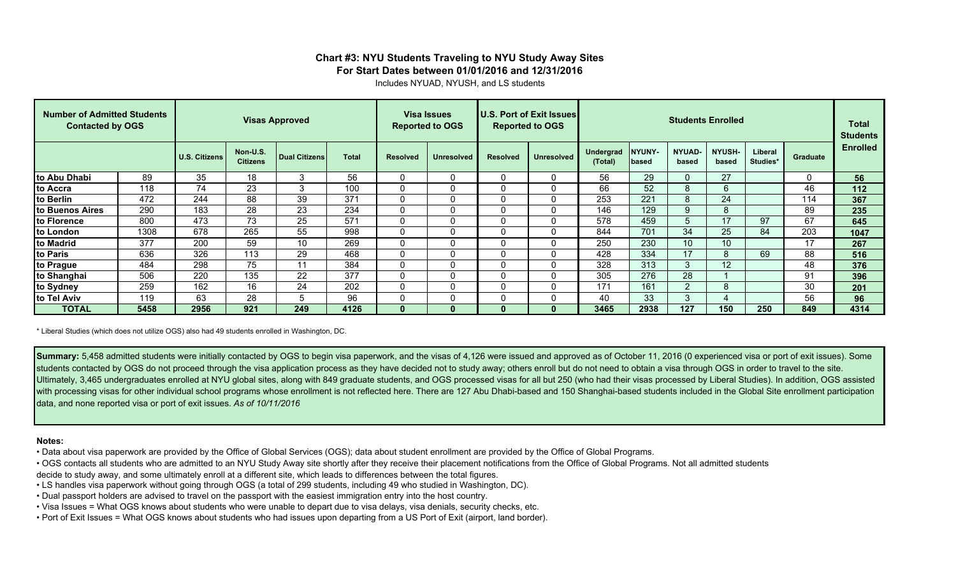## **Chart #3: NYU Students Traveling to NYU Study Away Sites For Start Dates between 01/01/2016 and 12/31/2016**

Includes NYUAD, NYUSH, and LS students

| <b>Number of Admitted Students</b><br><b>Contacted by OGS</b> |      |               | <b>Visas Approved</b>       |                      | <b>Visa Issues</b><br><b>Reported to OGS</b> |                 |                   | U.S. Port of Exit Issues<br><b>Reported to OGS</b> |                   |                      | Total<br><b>Students</b> |                        |                   |                     |          |                 |
|---------------------------------------------------------------|------|---------------|-----------------------------|----------------------|----------------------------------------------|-----------------|-------------------|----------------------------------------------------|-------------------|----------------------|--------------------------|------------------------|-------------------|---------------------|----------|-----------------|
|                                                               |      | U.S. Citizens | Non-U.S.<br><b>Citizens</b> | <b>Dual Citizens</b> | <b>Total</b>                                 | <b>Resolved</b> | <b>Unresolved</b> | <b>Resolved</b>                                    | <b>Unresolved</b> | Undergrad<br>(Total) | NYUNY-<br>lbased         | <b>NYUAD-</b><br>based | NYUSH-<br>based   | Liberal<br>Studies* | Graduate | <b>Enrolled</b> |
| Ito Abu Dhabi                                                 | 89   | 35            | 18                          | 3                    | 56                                           | 0               | $\Omega$          |                                                    | 0                 | 56                   | 29                       |                        | 27                |                     | $\Omega$ | 56              |
| <b>Ito Accra</b>                                              | 118  | 74            | 23                          | 3                    | 100                                          | 0               | $\Omega$          |                                                    | 0                 | 66                   | 52                       | 8                      | 6                 |                     | 46       | 112             |
| to Berlin                                                     | 472  | 244           | 88                          | 39                   | 371                                          | ∩               | 0                 |                                                    | $\Omega$          | 253                  | 221                      | 8                      | 24                |                     | 114      | 367             |
| to Buenos Aires                                               | 290  | 183           | 28                          | 23                   | 234                                          | $\Omega$        | 0                 |                                                    | 0                 | 146                  | 129                      | 9                      | 8                 |                     | 89       | 235             |
| to Florence                                                   | 800  | 473           | 73                          | 25                   | 571                                          | $\Omega$        | $\Omega$          |                                                    | $\Omega$          | 578                  | 459                      | 'n.                    |                   | 97                  | 67       | 645             |
| to London                                                     | 1308 | 678           | 265                         | 55                   | 998                                          | 0               | 0                 | U                                                  | $\Omega$          | 844                  | 701                      | 34                     | 25                | 84                  | 203      | 1047            |
| to Madrid                                                     | 377  | 200           | 59                          | 10                   | 269                                          | $\mathbf{0}$    | $\Omega$          |                                                    | $\Omega$          | 250                  | 230                      | 10                     | 10                |                     | 17       | 267             |
| to Paris                                                      | 636  | 326           | 113                         | 29                   | 468                                          | $\Omega$        | $\Omega$          |                                                    | $\Omega$          | 428                  | 334                      | 17                     | 8                 | 69                  | 88       | 516             |
| to Prague                                                     | 484  | 298           | 75                          | $-11$                | 384                                          | 0               | $\Omega$          |                                                    | 0                 | 328                  | 313                      | 3                      | $12 \overline{ }$ |                     | 48       | 376             |
| to Shanghai                                                   | 506  | 220           | 135                         | 22                   | 377                                          | $\Omega$        | $\Omega$          |                                                    | $\Omega$          | 305                  | 276                      | 28                     |                   |                     | 91       | 396             |
| to Sydney                                                     | 259  | 162           | 16                          | 24                   | 202                                          | 0               | $\Omega$          |                                                    | $\Omega$          | 171                  | 161                      | $\Omega$               | 8                 |                     | 30       | 201             |
| to Tel Aviv                                                   | 119  | 63            | 28                          | $\mathbf{b}$         | 96                                           | $\sim$<br>U     | $\Omega$          |                                                    | 0                 | 40                   | 33                       | 3                      |                   |                     | 56       | 96              |
| <b>TOTAL</b>                                                  | 5458 | 2956          | 921                         | 249                  | 4126                                         | $\Omega$        |                   |                                                    | $\mathbf{0}$      | 3465                 | 2938                     | 127                    | 150               | 250                 | 849      | 4314            |

\* Liberal Studies (which does not utilize OGS) also had 49 students enrolled in Washington, DC.

**Summary:** 5,458 admitted students were initially contacted by OGS to begin visa paperwork, and the visas of 4,126 were issued and approved as of October 11, 2016 (0 experienced visa or port of exit issues). Some students contacted by OGS do not proceed through the visa application process as they have decided not to study away; others enroll but do not need to obtain a visa through OGS in order to travel to the site. Ultimately, 3,465 undergraduates enrolled at NYU global sites, along with 849 graduate students, and OGS processed visas for all but 250 (who had their visas processed by Liberal Studies). In addition, OGS assisted with processing visas for other individual school programs whose enrollment is not reflected here. There are 127 Abu Dhabi-based and 150 Shanghai-based students included in the Global Site enrollment participation data, and none reported visa or port of exit issues. *As of 10/11/2016*

#### **Notes:**

- Data about visa paperwork are provided by the Office of Global Services (OGS); data about student enrollment are provided by the Office of Global Programs.
- OGS contacts all students who are admitted to an NYU Study Away site shortly after they receive their placement notifications from the Office of Global Programs. Not all admitted students
- decide to study away, and some ultimately enroll at a different site, which leads to differences between the total figures.
- LS handles visa paperwork without going through OGS (a total of 299 students, including 49 who studied in Washington, DC).
- Dual passport holders are advised to travel on the passport with the easiest immigration entry into the host country.
- Visa Issues = What OGS knows about students who were unable to depart due to visa delays, visa denials, security checks, etc.
- Port of Exit Issues = What OGS knows about students who had issues upon departing from a US Port of Exit (airport, land border).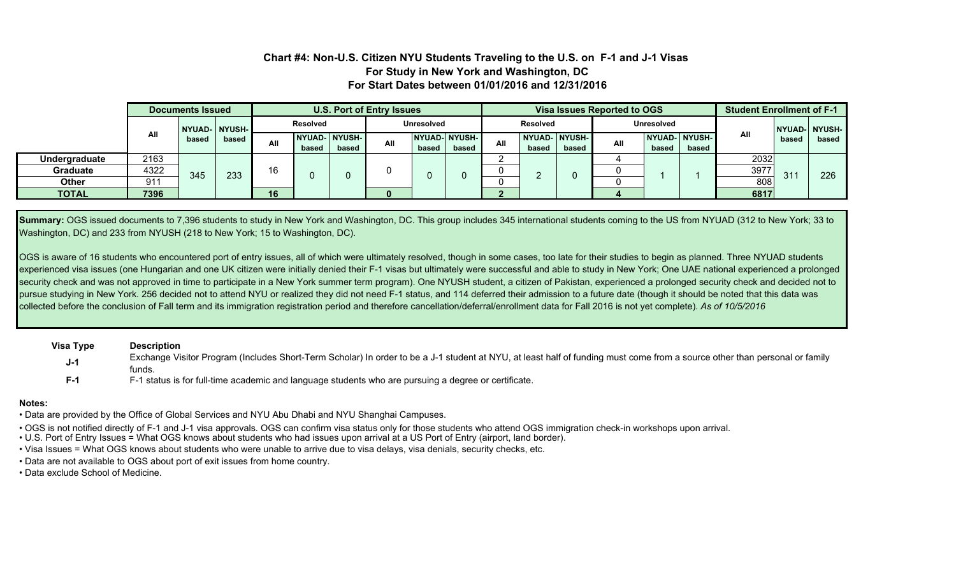### **Chart #4: Non-U.S. Citizen NYU Students Traveling to the U.S. on F-1 and J-1 Visas For Study in New York and Washington, DC For Start Dates between 01/01/2016 and 12/31/2016**

|                 |                 | Documents Issued |                 | <b>U.S. Port of Entry Issues</b> |       |                        |                   |       |                         | Visa Issues Reported to OGS |                               |       |     |                   |                               | <b>Student Enrollment of F-1</b> |       |                |
|-----------------|-----------------|------------------|-----------------|----------------------------------|-------|------------------------|-------------------|-------|-------------------------|-----------------------------|-------------------------------|-------|-----|-------------------|-------------------------------|----------------------------------|-------|----------------|
|                 | All             |                  | NYUAD-   NYUSH- | Resolved                         |       |                        | <b>Unresolved</b> |       |                         |                             | <b>Resolved</b>               |       |     | <b>Unresolved</b> |                               |                                  |       | NYUAD-I NYUSH- |
|                 |                 | based            | based           | All                              | based | NYUAD- NYUSH-<br>based | All               | based | NYUAD-INYUSH-I<br>based | All                         | <b>NYUAD-INYUSH-</b><br>based | based | All | based             | <b>NYUAD-INYUSH-</b><br>based | All                              | based | based          |
| Undergraduate   | 2163            |                  |                 |                                  |       |                        |                   |       |                         |                             |                               |       |     |                   |                               | 2032                             |       |                |
| <b>Graduate</b> | 4322            | 345              | 233             | 16                               |       |                        |                   |       |                         |                             |                               |       |     |                   |                               | 3977                             | 31'   | 226            |
| <b>Other</b>    | 91 <sup>°</sup> |                  |                 |                                  |       |                        |                   |       |                         |                             |                               |       |     |                   |                               | 808                              |       |                |
| <b>TOTAL</b>    | 7396            |                  |                 | 16                               |       |                        |                   |       |                         |                             |                               |       |     |                   |                               | 6817                             |       |                |

Summary: OGS issued documents to 7,396 students to study in New York and Washington, DC. This group includes 345 international students coming to the US from NYUAD (312 to New York; 33 to Washington, DC) and 233 from NYUSH (218 to New York; 15 to Washington, DC).

OGS is aware of 16 students who encountered port of entry issues, all of which were ultimately resolved, though in some cases, too late for their studies to begin as planned. Three NYUAD students experienced visa issues (one Hungarian and one UK citizen were initially denied their F-1 visas but ultimately were successful and able to study in New York; One UAE national experienced a prolonged security check and was not approved in time to participate in a New York summer term program). One NYUSH student, a citizen of Pakistan, experienced a prolonged security check and decided not to pursue studying in New York. 256 decided not to attend NYU or realized they did not need F-1 status, and 114 deferred their admission to a future date (though it should be noted that this data was collected before the conclusion of Fall term and its immigration registration period and therefore cancellation/deferral/enrollment data for Fall 2016 is not yet complete). *As of 10/5/2016*

**Visa Type F-1 Description** Exchange Visitor Program (Includes Short-Term Scholar) In order to be a J-1 student at NYU, at least half of funding must come from a source other than personal or family funds. **J-1** F-1 status is for full-time academic and language students who are pursuing a degree or certificate.

#### **Notes:**

- Data are provided by the Office of Global Services and NYU Abu Dhabi and NYU Shanghai Campuses.
- OGS is not notified directly of F-1 and J-1 visa approvals. OGS can confirm visa status only for those students who attend OGS immigration check-in workshops upon arrival.
- U.S. Port of Entry Issues = What OGS knows about students who had issues upon arrival at a US Port of Entry (airport, land border).
- Visa Issues = What OGS knows about students who were unable to arrive due to visa delays, visa denials, security checks, etc.
- Data are not available to OGS about port of exit issues from home country.
- Data exclude School of Medicine.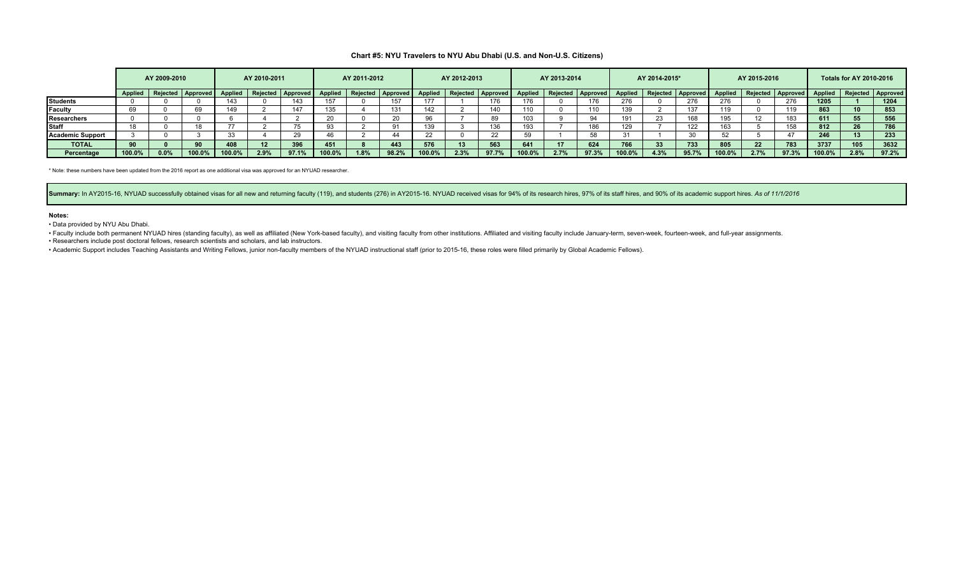#### **Chart #5: NYU Travelers to NYU Abu Dhabi (U.S. and Non-U.S. Citizens)**

|                         | AY 2009-2010   |      |                     | AY 2010-2011   |      | AY 2011-2012        |         | AY 2012-2013 |                   | AY 2013-2014   |      |                   | AY 2014-2015*  |      |                   | AY 2015-2016 |      |                           | <b>Totals for AY 2010-2016</b> |      |                   |                |                 |                          |
|-------------------------|----------------|------|---------------------|----------------|------|---------------------|---------|--------------|-------------------|----------------|------|-------------------|----------------|------|-------------------|--------------|------|---------------------------|--------------------------------|------|-------------------|----------------|-----------------|--------------------------|
|                         | <b>Applied</b> |      | Rejected   Approved | <b>Applied</b> |      | Rejected   Approved | Applied |              | Rejected Approved | <b>Applied</b> |      | Rejected Approved | <b>Applied</b> |      | Rejected Approved |              |      | Applied Rejected Approved | Applied                        |      | Rejected Approved | <b>Applied</b> |                 | <b>Rejected Approved</b> |
| <b>Students</b>         |                |      |                     | 143            |      |                     | 157     |              | 157               |                |      |                   | 176            |      | 176               | 276          |      | 276                       | 276                            |      | 276               | 1205           |                 | 1204                     |
| Faculty                 | 69             |      |                     | 149            |      | 147                 | 135     |              | 131               | 142            |      |                   | 110            |      |                   | 139          |      | 137                       | 110                            |      |                   | 863            |                 | 853                      |
| <b>Researchers</b>      |                |      |                     |                |      |                     |         |              | 20                |                |      |                   |                |      |                   | 191          |      | 168                       | 195                            |      | 183               | 611            | 55              | 556                      |
| <b>Staff</b>            |                |      |                     |                |      |                     |         |              | 91                | 139            |      |                   |                |      |                   | 129          |      | 122                       | 163                            |      |                   | 812            | 26              | 786                      |
| <b>Academic Support</b> |                |      |                     |                |      |                     |         |              | 44                |                |      |                   |                |      |                   | -31          |      |                           |                                |      |                   | 246            | 13 <sup>1</sup> | 233                      |
| <b>TOTAL</b>            | 90             |      | 90                  | 408            |      | 396                 | 451     |              | 443               | 576            |      | 563               | 641            |      | 624               | 766          |      | 733                       | 805                            | 22   | 783               | 3737           | 105             | 3632                     |
| Percentage              | 100.0%         | 0.0% | 100.0%              | 100.0%         | 2.9% | 97.1%               | 100.0%  | 1.8%         | 98.2%             | 100.0%         | 2.3% | 97.7%             | 100.0%         | 2.7% | 97.3%             | 100.0%       | 4.3% | 95.7%                     | 100.0%                         | 2.7% | 97.3%             | 100.0%         | 2.8%            | 97.2%                    |

\* Note: these numbers have been updated from the 2016 report as one additional visa was approved for an NYUAD researcher.

Summary: In AY2015-16, NYUAD successfully obtained visas for all new and returning faculty (119), and students (276) in AY2015-16. NYUAD received visas for 94% of its research hires, 97% of its staff hires, and 90% of its

#### **Notes:**

• Data provided by NYU Abu Dhabi.

· Faculty include both permanent NYUAD hires (standing faculty), as well as affiliated (New York-based faculty), and visiting faculty from other institutions. Affiliated and visiting faculty include January-term, seven-wee

• Researchers include post doctoral fellows, research scientists and scholars, and lab instructors.

• Academic Support includes Teaching Assistants and Writing Fellows, junior non-faculty members of the NYUAD instructional staff (prior to 2015-16, these roles were filled primarily by Global Academic Fellows).